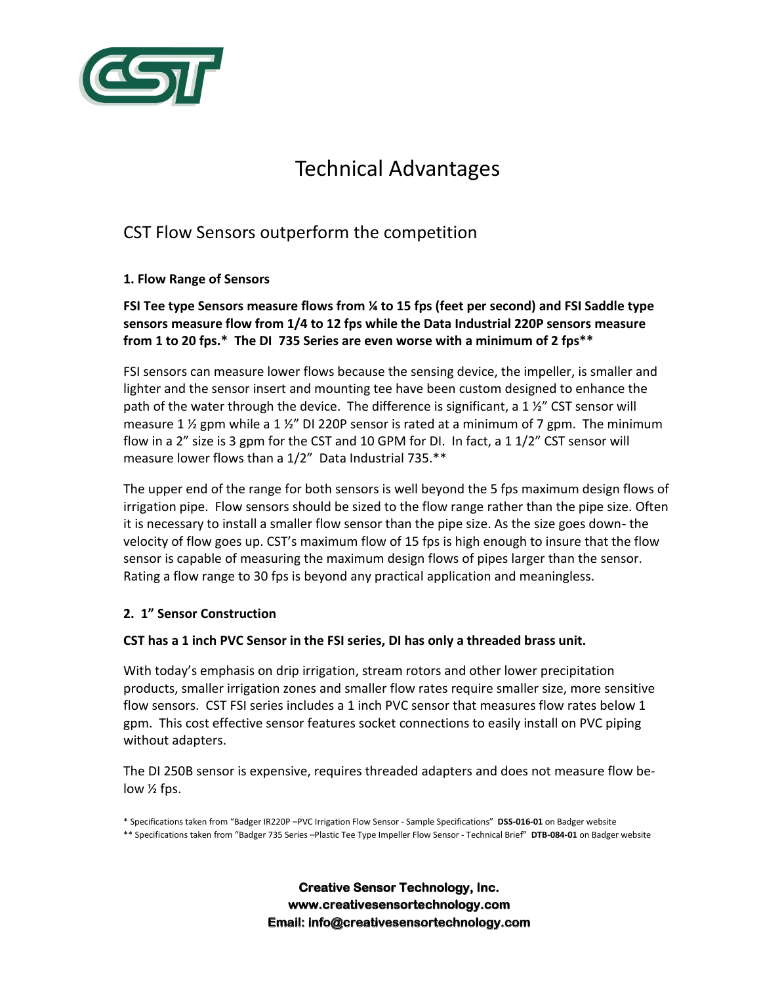

# Technical Advantages

# CST Flow Sensors outperform the competition

# **1. Flow Range of Sensors**

**FSI Tee type Sensors measure flows from ¼ to 15 fps (feet per second) and FSI Saddle type sensors measure flow from 1/4 to 12 fps while the Data Industrial 220P sensors measure from 1 to 20 fps.\* The DI 735 Series are even worse with a minimum of 2 fps\*\*** 

FSI sensors can measure lower flows because the sensing device, the impeller, is smaller and lighter and the sensor insert and mounting tee have been custom designed to enhance the path of the water through the device. The difference is significant, a 1 ½" CST sensor will measure 1  $\frac{1}{2}$  gpm while a 1  $\frac{1}{2}$ " DI 220P sensor is rated at a minimum of 7 gpm. The minimum flow in a 2" size is 3 gpm for the CST and 10 GPM for DI. In fact, a 1 1/2" CST sensor will measure lower flows than a 1/2" Data Industrial 735.\*\*

The upper end of the range for both sensors is well beyond the 5 fps maximum design flows of irrigation pipe. Flow sensors should be sized to the flow range rather than the pipe size. Often it is necessary to install a smaller flow sensor than the pipe size. As the size goes down- the velocity of flow goes up. CST's maximum flow of 15 fps is high enough to insure that the flow sensor is capable of measuring the maximum design flows of pipes larger than the sensor. Rating a flow range to 30 fps is beyond any practical application and meaningless.

# **2. 1" Sensor Construction**

# **CST has a 1 inch PVC Sensor in the FSI series, DI has only a threaded brass unit.**

With today's emphasis on drip irrigation, stream rotors and other lower precipitation products, smaller irrigation zones and smaller flow rates require smaller size, more sensitive flow sensors. CST FSI series includes a 1 inch PVC sensor that measures flow rates below 1 gpm. This cost effective sensor features socket connections to easily install on PVC piping without adapters.

The DI 250B sensor is expensive, requires threaded adapters and does not measure flow below ½ fps.

\* Specifications taken from "Badger IR220P –PVC Irrigation Flow Sensor - Sample Specifications" **DSS-016-01** on Badger website \*\* Specifications taken from "Badger 735 Series –Plastic Tee Type Impeller Flow Sensor - Technical Brief" **DTB-084-01** on Badger website

> **Creative Sensor Technology, Inc. www.creativesensortechnology.com Email: info@creativesensortechnology.com**